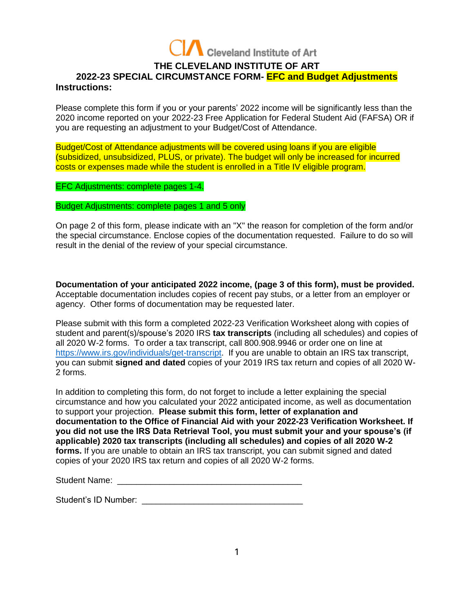

# **THE CLEVELAND INSTITUTE OF ART 2022-23 SPECIAL CIRCUMSTANCE FORM- EFC and Budget Adjustments Instructions:**

Please complete this form if you or your parents' 2022 income will be significantly less than the 2020 income reported on your 2022-23 Free Application for Federal Student Aid (FAFSA) OR if you are requesting an adjustment to your Budget/Cost of Attendance.

Budget/Cost of Attendance adjustments will be covered using loans if you are eligible (subsidized, unsubsidized, PLUS, or private). The budget will only be increased for incurred costs or expenses made while the student is enrolled in a Title IV eligible program.

EFC Adjustments: complete pages 1-4.

Budget Adjustments: complete pages 1 and 5 only

On page 2 of this form, please indicate with an "X" the reason for completion of the form and/or the special circumstance. Enclose copies of the documentation requested. Failure to do so will result in the denial of the review of your special circumstance.

**Documentation of your anticipated 2022 income, (page 3 of this form), must be provided.** Acceptable documentation includes copies of recent pay stubs, or a letter from an employer or agency. Other forms of documentation may be requested later.

Please submit with this form a completed 2022-23 Verification Worksheet along with copies of student and parent(s)/spouse's 2020 IRS **tax transcripts** (including all schedules) and copies of all 2020 W-2 forms. To order a tax transcript, call 800.908.9946 or order one on line at [https://www.irs.gov/individuals/get-transcript.](https://www.irs.gov/individuals/get-transcript) If you are unable to obtain an IRS tax transcript, you can submit **signed and dated** copies of your 2019 IRS tax return and copies of all 2020 W-2 forms.

In addition to completing this form, do not forget to include a letter explaining the special circumstance and how you calculated your 2022 anticipated income, as well as documentation to support your projection. **Please submit this form, letter of explanation and documentation to the Office of Financial Aid with your 2022-23 Verification Worksheet. If you did not use the IRS Data Retrieval Tool, you must submit your and your spouse's (if applicable) 2020 tax transcripts (including all schedules) and copies of all 2020 W-2 forms.** If you are unable to obtain an IRS tax transcript, you can submit signed and dated copies of your 2020 IRS tax return and copies of all 2020 W-2 forms.

| <b>Student Name:</b> |  |  |
|----------------------|--|--|
|----------------------|--|--|

Student's ID Number: **Example 20**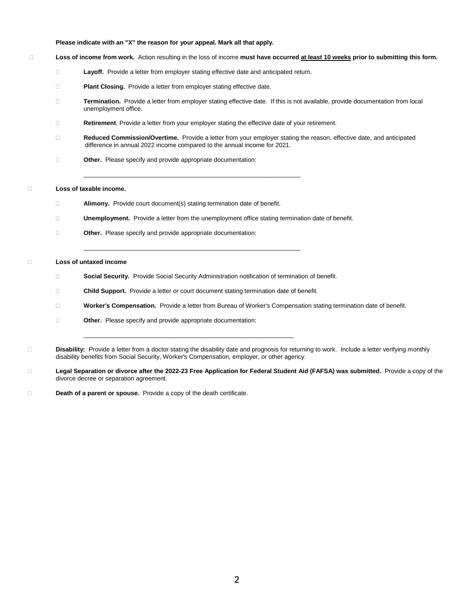### **Please indicate with an "X" the reason for your appeal. Mark all that apply.**

#### **Loss of income from work.** Action resulting in the loss of income **must have occurred at least 10 weeks prior to submitting this form.**

- **Layoff.** Provide a letter from employer stating effective date and anticipated return.
- **Plant Closing.** Provide a letter from employer stating effective date.
- **Termination.** Provide a letter from employer stating effective date. If this is not available, provide documentation from local unemployment office.
- **Retirement**. Provide a letter from your employer stating the effective date of your retirement.

\_\_\_\_\_\_\_\_\_\_\_\_\_\_\_\_\_\_\_\_\_\_\_\_\_\_\_\_\_\_\_\_\_\_\_\_\_\_\_\_\_\_\_\_\_\_\_\_\_\_\_\_\_\_\_\_\_\_\_\_\_\_\_

- **Reduced Commission/Overtime.** Provide a letter from your employer stating the reason, effective date, and anticipated difference in annual 2022 income compared to the annual income for 2021.
- **Other.** Please specify and provide appropriate documentation:

### **Loss of taxable income.**

- **Alimony.** Provide court document(s) stating termination date of benefit.
- **Unemployment.** Provide a letter from the unemployment office stating termination date of benefit.
- **Other.** Please specify and provide appropriate documentation:

### **Loss of untaxed income**

**Social Security.** Provide Social Security Administration notification of termination of benefit.

\_\_\_\_\_\_\_\_\_\_\_\_\_\_\_\_\_\_\_\_\_\_\_\_\_\_\_\_\_\_\_\_\_\_\_\_\_\_\_\_\_\_\_\_\_\_\_\_\_\_\_\_\_\_\_\_\_\_\_\_\_\_\_

**Child Support.** Provide a letter or court document stating termination date of benefit.

\_\_\_\_\_\_\_\_\_\_\_\_\_\_\_\_\_\_\_\_\_\_\_\_\_\_\_\_\_\_\_\_\_\_\_\_\_\_\_\_\_\_\_\_\_\_\_\_\_\_\_\_\_\_\_\_\_\_\_\_\_

- **Worker's Compensation.** Provide a letter from Bureau of Worker's Compensation stating termination date of benefit.
- **Other.** Please specify and provide appropriate documentation:
- **Disability:** Provide a letter from a doctor stating the disability date and prognosis for returning to work. Include a letter verifying monthly disability benefits from Social Security, Worker's Compensation, employer, or other agency.
- **Legal Separation or divorce after the 2022-23 Free Application for Federal Student Aid (FAFSA) was submitted.** Provide a copy of the divorce decree or separation agreement.
- **Death of a parent or spouse.** Provide a copy of the death certificate.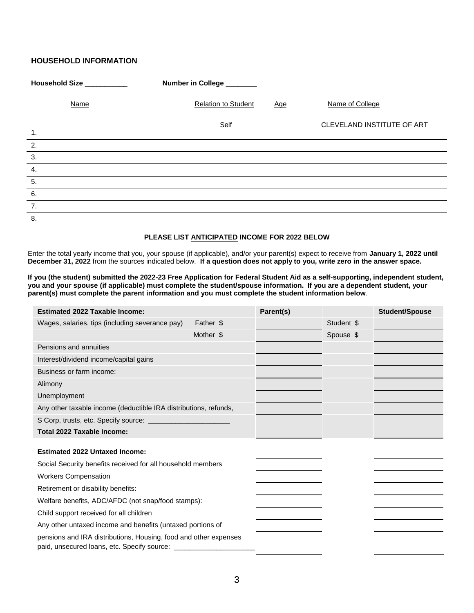# **HOUSEHOLD INFORMATION**

| Household Size __________ | Number in College _______                |                            |
|---------------------------|------------------------------------------|----------------------------|
| Name                      | <b>Relation to Student</b><br><u>Age</u> | Name of College            |
| $\mathbf{1}$ .            | Self                                     | CLEVELAND INSTITUTE OF ART |
| $\overline{2}$ .          |                                          |                            |
| $\overline{3}$ .          |                                          |                            |
| $\overline{4}$ .          |                                          |                            |
| $\overline{5}$ .          |                                          |                            |
| $\overline{6}$ .          |                                          |                            |
| 7.                        |                                          |                            |
| 8.                        |                                          |                            |

## **PLEASE LIST ANTICIPATED INCOME FOR 2022 BELOW**

Enter the total yearly income that you, your spouse (if applicable), and/or your parent(s) expect to receive from **January 1, 2022 until December 31, 2022** from the sources indicated below. **If a question does not apply to you, write zero in the answer space.**

**If you (the student) submitted the 2022-23 Free Application for Federal Student Aid as a self-supporting, independent student, you and your spouse (if applicable) must complete the student/spouse information. If you are a dependent student, your parent(s) must complete the parent information and you must complete the student information below**.

| <b>Estimated 2022 Taxable Income:</b>                            |           | Parent(s) |            | <b>Student/Spouse</b> |
|------------------------------------------------------------------|-----------|-----------|------------|-----------------------|
| Wages, salaries, tips (including severance pay)                  | Father \$ |           | Student \$ |                       |
|                                                                  | Mother \$ |           | Spouse \$  |                       |
| Pensions and annuities                                           |           |           |            |                       |
| Interest/dividend income/capital gains                           |           |           |            |                       |
| Business or farm income:                                         |           |           |            |                       |
| Alimony                                                          |           |           |            |                       |
| Unemployment                                                     |           |           |            |                       |
| Any other taxable income (deductible IRA distributions, refunds, |           |           |            |                       |
|                                                                  |           |           |            |                       |
| Total 2022 Taxable Income:                                       |           |           |            |                       |
| <b>Estimated 2022 Untaxed Income:</b>                            |           |           |            |                       |
| Social Security benefits received for all household members      |           |           |            |                       |
| <b>Workers Compensation</b>                                      |           |           |            |                       |
| Retirement or disability benefits:                               |           |           |            |                       |
| Welfare benefits, ADC/AFDC (not snap/food stamps):               |           |           |            |                       |
| Child support received for all children                          |           |           |            |                       |
| Any other untaxed income and benefits (untaxed portions of       |           |           |            |                       |
| pensions and IRA distributions, Housing, food and other expenses |           |           |            |                       |
|                                                                  |           |           |            |                       |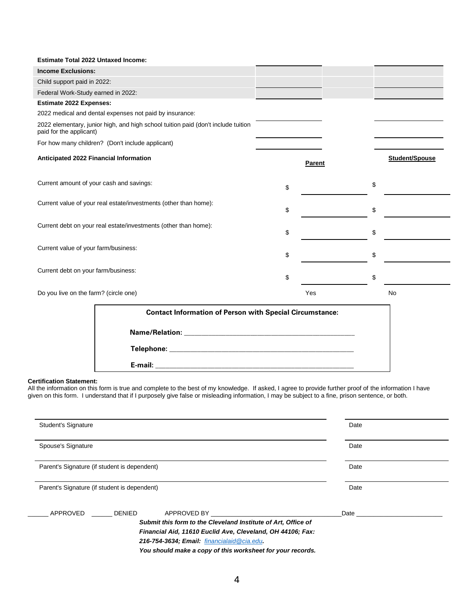| <b>Estimate Total 2022 Untaxed Income:</b> |                                                                                   |          |                |
|--------------------------------------------|-----------------------------------------------------------------------------------|----------|----------------|
| <b>Income Exclusions:</b>                  |                                                                                   |          |                |
| Child support paid in 2022:                |                                                                                   |          |                |
| Federal Work-Study earned in 2022:         |                                                                                   |          |                |
| <b>Estimate 2022 Expenses:</b>             |                                                                                   |          |                |
|                                            | 2022 medical and dental expenses not paid by insurance:                           |          |                |
| paid for the applicant)                    | 2022 elementary, junior high, and high school tuition paid (don't include tuition |          |                |
|                                            | For how many children? (Don't include applicant)                                  |          |                |
| Anticipated 2022 Financial Information     |                                                                                   | Parent   | Student/Spouse |
| Current amount of your cash and savings:   |                                                                                   | \$<br>\$ |                |
|                                            | Current value of your real estate/investments (other than home):                  | \$<br>\$ |                |
|                                            | Current debt on your real estate/investments (other than home):                   | \$<br>\$ |                |
| Current value of your farm/business:       |                                                                                   | \$<br>\$ |                |
| Current debt on your farm/business:        |                                                                                   | \$<br>\$ |                |
| Do you live on the farm? (circle one)      |                                                                                   | Yes      | No             |
|                                            | <b>Contact Information of Person with Special Circumstance:</b>                   |          |                |
|                                            |                                                                                   |          |                |
|                                            |                                                                                   |          |                |
|                                            |                                                                                   |          |                |
|                                            |                                                                                   |          |                |

#### **Certification Statement:**

All the information on this form is true and complete to the best of my knowledge. If asked, I agree to provide further proof of the information I have given on this form. I understand that if I purposely give false or misleading information, I may be subject to a fine, prison sentence, or both.

| <b>Student's Signature</b>                   |               |                                                               | Date                                                                                                                                                                                                                           |
|----------------------------------------------|---------------|---------------------------------------------------------------|--------------------------------------------------------------------------------------------------------------------------------------------------------------------------------------------------------------------------------|
| Spouse's Signature                           |               |                                                               | Date                                                                                                                                                                                                                           |
|                                              |               |                                                               |                                                                                                                                                                                                                                |
| Parent's Signature (if student is dependent) |               |                                                               | Date                                                                                                                                                                                                                           |
| Parent's Signature (if student is dependent) |               |                                                               | Date                                                                                                                                                                                                                           |
| APPROVED                                     | <b>DENIED</b> | APPROVED BY <u>Conservation</u>                               | Date the contract of the contract of the contract of the contract of the contract of the contract of the contract of the contract of the contract of the contract of the contract of the contract of the contract of the contr |
|                                              |               | Submit this form to the Cleveland Institute of Art, Office of |                                                                                                                                                                                                                                |
|                                              |               | Financial Aid, 11610 Euclid Ave, Cleveland, OH 44106; Fax:    |                                                                                                                                                                                                                                |
|                                              |               | 216-754-3634; Email: financialaid @cia.edu.                   |                                                                                                                                                                                                                                |
|                                              |               | You should make a copy of this worksheet for your records.    |                                                                                                                                                                                                                                |
|                                              |               |                                                               |                                                                                                                                                                                                                                |